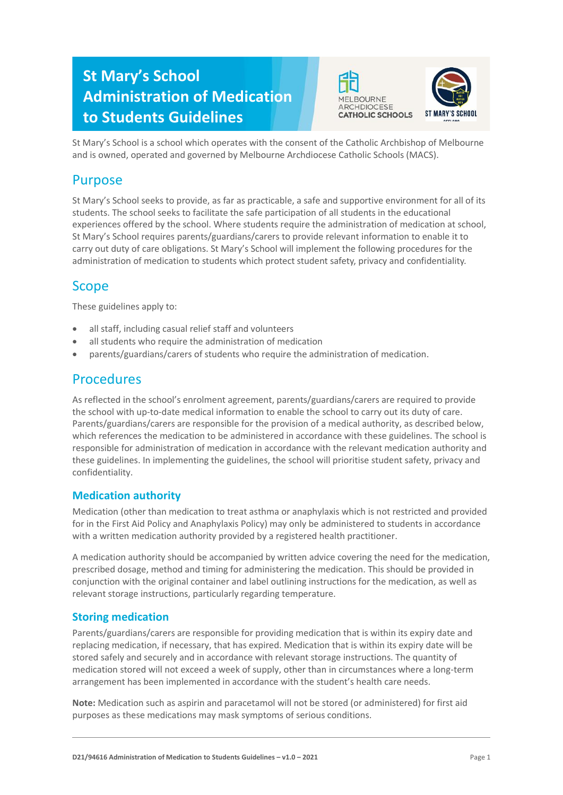# **St Mary's School Administration of Medication to Students Guidelines**





St Mary's School is a school which operates with the consent of the Catholic Archbishop of Melbourne and is owned, operated and governed by Melbourne Archdiocese Catholic Schools (MACS).

# Purpose

St Mary's School seeks to provide, as far as practicable, a safe and supportive environment for all of its students. The school seeks to facilitate the safe participation of all students in the educational experiences offered by the school. Where students require the administration of medication at school, St Mary's School requires parents/guardians/carers to provide relevant information to enable it to carry out duty of care obligations. St Mary's School will implement the following procedures for the administration of medication to students which protect student safety, privacy and confidentiality.

# Scope

These guidelines apply to:

- all staff, including casual relief staff and volunteers
- all students who require the administration of medication
- parents/guardians/carers of students who require the administration of medication.

## **Procedures**

As reflected in the school's enrolment agreement, parents/guardians/carers are required to provide the school with up-to-date medical information to enable the school to carry out its duty of care. Parents/guardians/carers are responsible for the provision of a medical authority, as described below, which references the medication to be administered in accordance with these guidelines. The school is responsible for administration of medication in accordance with the relevant medication authority and these guidelines. In implementing the guidelines, the school will prioritise student safety, privacy and confidentiality.

#### **Medication authority**

Medication (other than medication to treat asthma or anaphylaxis which is not restricted and provided for in the First Aid Policy and Anaphylaxis Policy) may only be administered to students in accordance with a written medication authority provided by a registered health practitioner.

A medication authority should be accompanied by written advice covering the need for the medication, prescribed dosage, method and timing for administering the medication. This should be provided in conjunction with the original container and label outlining instructions for the medication, as well as relevant storage instructions, particularly regarding temperature.

### **Storing medication**

Parents/guardians/carers are responsible for providing medication that is within its expiry date and replacing medication, if necessary, that has expired. Medication that is within its expiry date will be stored safely and securely and in accordance with relevant storage instructions. The quantity of medication stored will not exceed a week of supply, other than in circumstances where a long-term arrangement has been implemented in accordance with the student's health care needs.

**Note:** Medication such as aspirin and paracetamol will not be stored (or administered) for first aid purposes as these medications may mask symptoms of serious conditions.